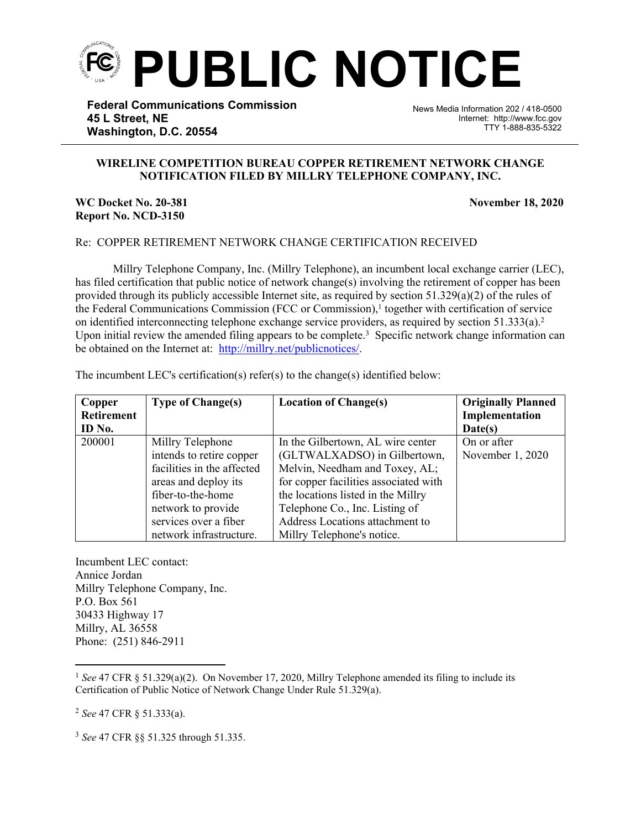

**Federal Communications Commission 45 L Street, NE Washington, D.C. 20554**

News Media Information 202 / 418-0500 Internet: http://www.fcc.gov TTY 1-888-835-5322

## **WIRELINE COMPETITION BUREAU COPPER RETIREMENT NETWORK CHANGE NOTIFICATION FILED BY MILLRY TELEPHONE COMPANY, INC.**

֡֡֡֡

## **WC Docket No. 20-381 November 18, 2020 Report No. NCD-3150**

## Re: COPPER RETIREMENT NETWORK CHANGE CERTIFICATION RECEIVED

Millry Telephone Company, Inc. (Millry Telephone), an incumbent local exchange carrier (LEC), has filed certification that public notice of network change(s) involving the retirement of copper has been provided through its publicly accessible Internet site, as required by section  $51.329(a)(2)$  of the rules of the Federal Communications Commission (FCC or Commission),<sup>1</sup> together with certification of service on identified interconnecting telephone exchange service providers, as required by section 51.333(a).<sup>2</sup> Upon initial review the amended filing appears to be complete.<sup>3</sup> Specific network change information can be obtained on the Internet at: http://millry.net/publicnotices/.

| Copper            | <b>Type of Change(s)</b>   | <b>Location of Change(s)</b>          | <b>Originally Planned</b> |
|-------------------|----------------------------|---------------------------------------|---------------------------|
| <b>Retirement</b> |                            |                                       | Implementation            |
| ID No.            |                            |                                       | Date(s)                   |
| 200001            | Millry Telephone           | In the Gilbertown, AL wire center     | On or after               |
|                   | intends to retire copper   | (GLTWALXADSO) in Gilbertown,          | November 1, 2020          |
|                   | facilities in the affected | Melvin, Needham and Toxey, AL;        |                           |
|                   | areas and deploy its       | for copper facilities associated with |                           |
|                   | fiber-to-the-home          | the locations listed in the Millry    |                           |
|                   | network to provide         | Telephone Co., Inc. Listing of        |                           |
|                   | services over a fiber      | Address Locations attachment to       |                           |
|                   | network infrastructure.    | Millry Telephone's notice.            |                           |

The incumbent LEC's certification(s) refer(s) to the change(s) identified below:

Incumbent LEC contact: Annice Jordan Millry Telephone Company, Inc. P.O. Box 561 30433 Highway 17 Millry, AL 36558 Phone: (251) 846-2911

<sup>2</sup> *See* 47 CFR § 51.333(a).

<sup>3</sup> *See* 47 CFR §§ 51.325 through 51.335.

<sup>1</sup> *See* 47 CFR § 51.329(a)(2). On November 17, 2020, Millry Telephone amended its filing to include its Certification of Public Notice of Network Change Under Rule 51.329(a).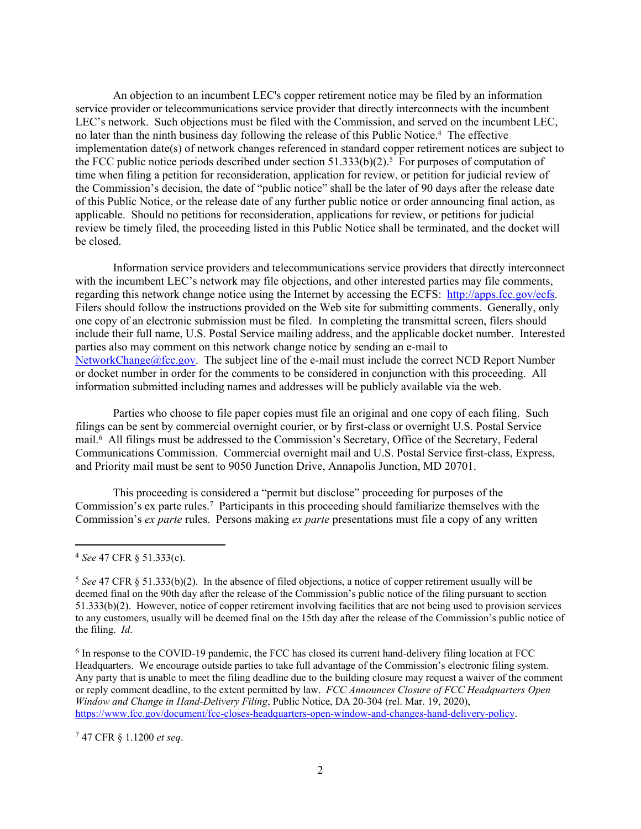An objection to an incumbent LEC's copper retirement notice may be filed by an information service provider or telecommunications service provider that directly interconnects with the incumbent LEC's network. Such objections must be filed with the Commission, and served on the incumbent LEC, no later than the ninth business day following the release of this Public Notice.<sup>4</sup> The effective implementation date(s) of network changes referenced in standard copper retirement notices are subject to the FCC public notice periods described under section  $51.333(b)(2)$ .<sup>5</sup> For purposes of computation of time when filing a petition for reconsideration, application for review, or petition for judicial review of the Commission's decision, the date of "public notice" shall be the later of 90 days after the release date of this Public Notice, or the release date of any further public notice or order announcing final action, as applicable. Should no petitions for reconsideration, applications for review, or petitions for judicial review be timely filed, the proceeding listed in this Public Notice shall be terminated, and the docket will be closed.

Information service providers and telecommunications service providers that directly interconnect with the incumbent LEC's network may file objections, and other interested parties may file comments, regarding this network change notice using the Internet by accessing the ECFS: [http://apps.fcc.gov/ecfs.](http://apps.fcc.gov/ecfs) Filers should follow the instructions provided on the Web site for submitting comments. Generally, only one copy of an electronic submission must be filed. In completing the transmittal screen, filers should include their full name, U.S. Postal Service mailing address, and the applicable docket number. Interested parties also may comment on this network change notice by sending an e-mail to [NetworkChange@fcc.gov.](mailto:NetworkChange@fcc.gov) The subject line of the e-mail must include the correct NCD Report Number or docket number in order for the comments to be considered in conjunction with this proceeding. All information submitted including names and addresses will be publicly available via the web.

Parties who choose to file paper copies must file an original and one copy of each filing. Such filings can be sent by commercial overnight courier, or by first-class or overnight U.S. Postal Service mail.<sup>6</sup> All filings must be addressed to the Commission's Secretary, Office of the Secretary, Federal Communications Commission. Commercial overnight mail and U.S. Postal Service first-class, Express, and Priority mail must be sent to 9050 Junction Drive, Annapolis Junction, MD 20701.

This proceeding is considered a "permit but disclose" proceeding for purposes of the Commission's ex parte rules.<sup>7</sup> Participants in this proceeding should familiarize themselves with the Commission's *ex parte* rules. Persons making *ex parte* presentations must file a copy of any written

<sup>7</sup> 47 CFR § 1.1200 *et seq*.

<sup>4</sup> *See* 47 CFR § 51.333(c).

<sup>&</sup>lt;sup>5</sup> See 47 CFR § 51.333(b)(2). In the absence of filed objections, a notice of copper retirement usually will be deemed final on the 90th day after the release of the Commission's public notice of the filing pursuant to section 51.333(b)(2). However, notice of copper retirement involving facilities that are not being used to provision services to any customers, usually will be deemed final on the 15th day after the release of the Commission's public notice of the filing. *Id*.

<sup>&</sup>lt;sup>6</sup> In response to the COVID-19 pandemic, the FCC has closed its current hand-delivery filing location at FCC Headquarters. We encourage outside parties to take full advantage of the Commission's electronic filing system. Any party that is unable to meet the filing deadline due to the building closure may request a waiver of the comment or reply comment deadline, to the extent permitted by law. *FCC Announces Closure of FCC Headquarters Open Window and Change in Hand-Delivery Filing*, Public Notice, DA 20-304 (rel. Mar. 19, 2020), [https://www.fcc.gov/document/fcc-closes-headquarters-open-window-and-changes-hand-delivery-policy.](https://www.fcc.gov/document/fcc-closes-headquarters-open-window-and-changes-hand-delivery-policy)